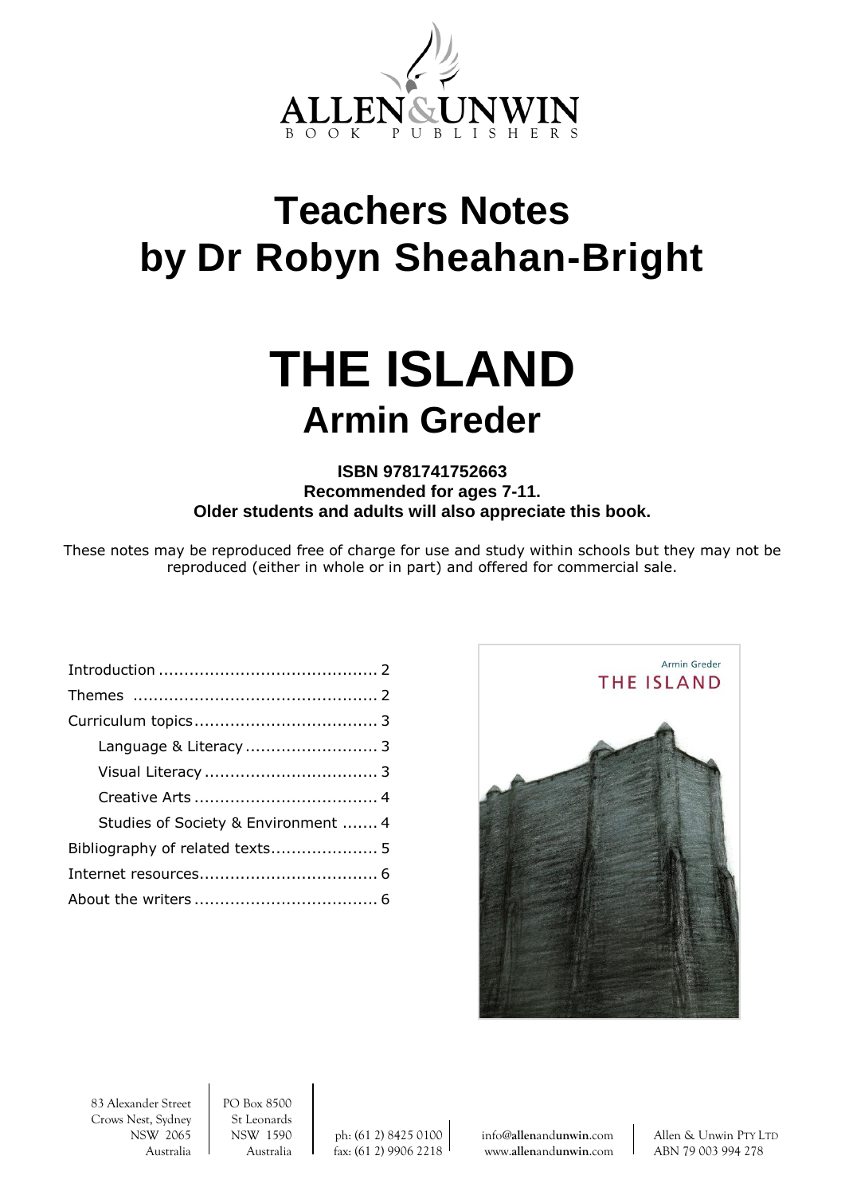

## **Teachers Notes by Dr Robyn Sheahan-Bright**

# **THE ISLAND Armin Greder**

**ISBN 9781741752663 Recommended for ages 7-11. Older students and adults will also appreciate this book.**

These notes may be reproduced free of charge for use and study within schools but they may not be reproduced (either in whole or in part) and offered for commercial sale.

| Studies of Society & Environment  4 |  |
|-------------------------------------|--|
| Bibliography of related texts 5     |  |
|                                     |  |
|                                     |  |
|                                     |  |



83 Alexander Street PO Box 8500 Crows Nest, Sydney St Leonards

NSW 2065 NSW 1590 ph: (61 2) 8425 0100 info@**allen**and**[unwin](mailto:info@allenandunwin.com)**.com Allen & Unwin PTY LTD Australia Australia fax: (61 2) 9906 2218 www.**allen**and**[unwin](http://www.allenandunwin.com/)**.com ABN 79 003 994 278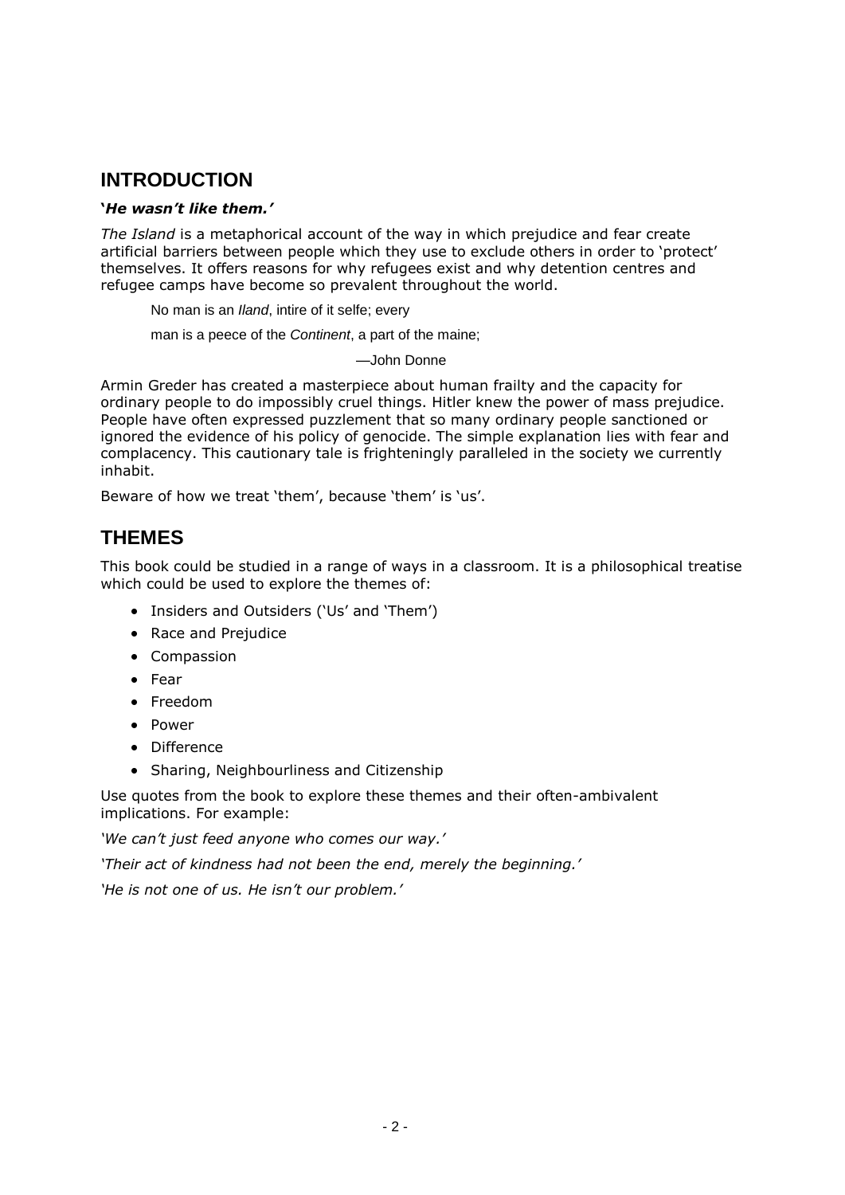## **INTRODUCTION**

## **'***He wasn't like them.'*

*The Island* is a metaphorical account of the way in which prejudice and fear create artificial barriers between people which they use to exclude others in order to 'protect' themselves. It offers reasons for why refugees exist and why detention centres and refugee camps have become so prevalent throughout the world.

No man is an *Iland*, intire of it selfe; every

man is a peece of the *Continent*, a part of the maine;

—John Donne

Armin Greder has created a masterpiece about human frailty and the capacity for ordinary people to do impossibly cruel things. Hitler knew the power of mass prejudice. People have often expressed puzzlement that so many ordinary people sanctioned or ignored the evidence of his policy of genocide. The simple explanation lies with fear and complacency. This cautionary tale is frighteningly paralleled in the society we currently inhabit.

Beware of how we treat 'them', because 'them' is 'us'.

## **THEMES**

This book could be studied in a range of ways in a classroom. It is a philosophical treatise which could be used to explore the themes of:

- Insiders and Outsiders ('Us' and 'Them')
- Race and Prejudice
- Compassion
- Fear
- Freedom
- Power
- Difference
- Sharing, Neighbourliness and Citizenship

Use quotes from the book to explore these themes and their often-ambivalent implications. For example:

*'We can't just feed anyone who comes our way.'*

*'Their act of kindness had not been the end, merely the beginning.'*

*'He is not one of us. He isn't our problem.'*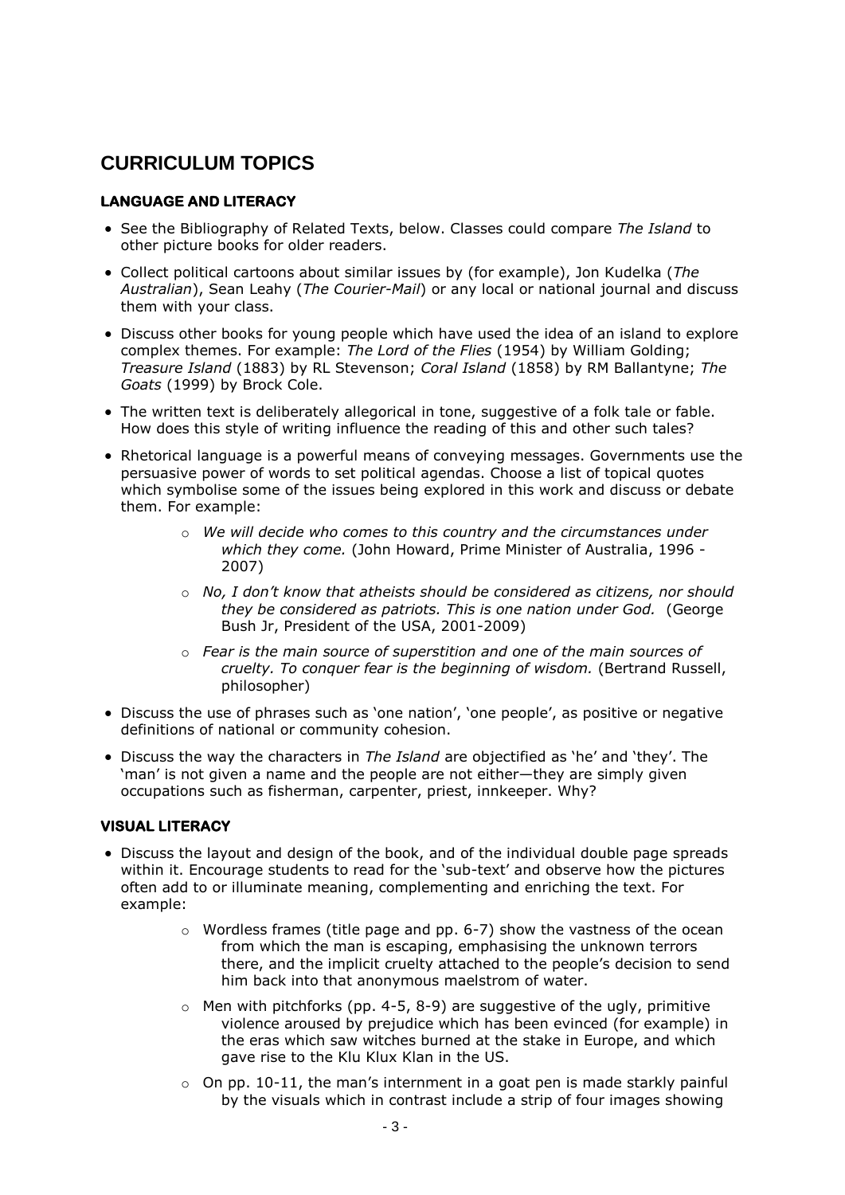## **CURRICULUM TOPICS**

## **LANGUAGE AND LITERACY**

- See the Bibliography of Related Texts, below. Classes could compare *The Island* to other picture books for older readers.
- Collect political cartoons about similar issues by (for example), Jon Kudelka (*The Australian*), Sean Leahy (*The Courier-Mail*) or any local or national journal and discuss them with your class.
- Discuss other books for young people which have used the idea of an island to explore complex themes. For example: *The Lord of the Flies* (1954) by William Golding; *Treasure Island* (1883) by RL Stevenson; *Coral Island* (1858) by RM Ballantyne; *The Goats* (1999) by Brock Cole.
- The written text is deliberately allegorical in tone, suggestive of a folk tale or fable. How does this style of writing influence the reading of this and other such tales?
- Rhetorical language is a powerful means of conveying messages. Governments use the persuasive power of words to set political agendas. Choose a list of topical quotes which symbolise some of the issues being explored in this work and discuss or debate them. For example:
	- o *We will decide who comes to this country and the circumstances under which they come.* (John Howard, Prime Minister of Australia, 1996 - 2007)
	- o *No, I don't know that atheists should be considered as citizens, nor should they be considered as patriots. This is one nation under God.* (George Bush Jr, President of the USA, 2001-2009)
	- o *Fear is the main source of superstition and one of the main sources of cruelty. To conquer fear is the beginning of wisdom.* (Bertrand Russell, philosopher)
- Discuss the use of phrases such as 'one nation', 'one people', as positive or negative definitions of national or community cohesion.
- Discuss the way the characters in *The Island* are objectified as 'he' and 'they'. The 'man' is not given a name and the people are not either—they are simply given occupations such as fisherman, carpenter, priest, innkeeper. Why?

## **VISUAL LITERACY**

- Discuss the layout and design of the book, and of the individual double page spreads within it. Encourage students to read for the 'sub-text' and observe how the pictures often add to or illuminate meaning, complementing and enriching the text. For example:
	- $\circ$  Wordless frames (title page and pp. 6-7) show the vastness of the ocean from which the man is escaping, emphasising the unknown terrors there, and the implicit cruelty attached to the people's decision to send him back into that anonymous maelstrom of water.
	- $\circ$  Men with pitchforks (pp. 4-5, 8-9) are suggestive of the ugly, primitive violence aroused by prejudice which has been evinced (for example) in the eras which saw witches burned at the stake in Europe, and which gave rise to the Klu Klux Klan in the US.
	- $\circ$  On pp. 10-11, the man's internment in a goat pen is made starkly painful by the visuals which in contrast include a strip of four images showing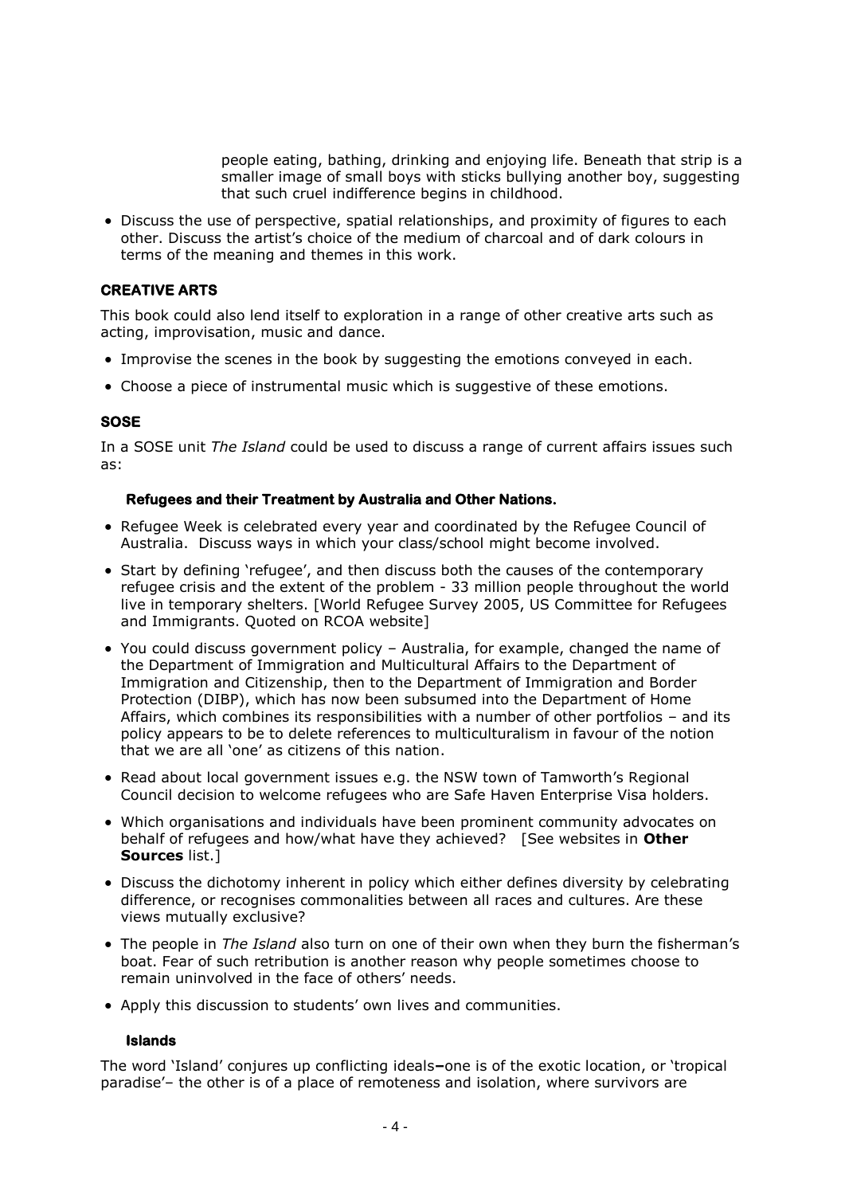people eating, bathing, drinking and enjoying life. Beneath that strip is a smaller image of small boys with sticks bullying another boy, suggesting that such cruel indifference begins in childhood.

• Discuss the use of perspective, spatial relationships, and proximity of figures to each other. Discuss the artist's choice of the medium of charcoal and of dark colours in terms of the meaning and themes in this work.

## **CREATIVE ARTS**

This book could also lend itself to exploration in a range of other creative arts such as acting, improvisation, music and dance.

- Improvise the scenes in the book by suggesting the emotions conveyed in each.
- Choose a piece of instrumental music which is suggestive of these emotions.

## **SOSE**

In a SOSE unit *The Island* could be used to discuss a range of current affairs issues such as:

#### **Refugees and their Treatment by Australia and Other Nations.**

- Refugee Week is celebrated every year and coordinated by the Refugee Council of Australia. Discuss ways in which your class/school might become involved.
- Start by defining 'refugee', and then discuss both the causes of the contemporary refugee crisis and the extent of the problem - 33 million people throughout the world live in temporary shelters. [World Refugee Survey 2005, US Committee for Refugees and Immigrants. Quoted on RCOA website]
- You could discuss government policy Australia, for example, changed the name of the Department of Immigration and Multicultural Affairs to the Department of Immigration and Citizenship, then to the Department of Immigration and Border Protection (DIBP), which has now been subsumed into the Department of Home Affairs, which combines its responsibilities with a number of other portfolios – and its policy appears to be to delete references to multiculturalism in favour of the notion that we are all 'one' as citizens of this nation.
- Read about local government issues e.g. the NSW town of Tamworth's Regional Council decision to welcome refugees who are Safe Haven Enterprise Visa holders.
- Which organisations and individuals have been prominent community advocates on behalf of refugees and how/what have they achieved? [See websites in **Other Sources** list.]
- Discuss the dichotomy inherent in policy which either defines diversity by celebrating difference, or recognises commonalities between all races and cultures. Are these views mutually exclusive?
- The people in *The Island* also turn on one of their own when they burn the fisherman's boat. Fear of such retribution is another reason why people sometimes choose to remain uninvolved in the face of others' needs.
- Apply this discussion to students' own lives and communities.

## **Islands**

The word 'Island' conjures up conflicting ideals**–**one is of the exotic location, or 'tropical paradise'– the other is of a place of remoteness and isolation, where survivors are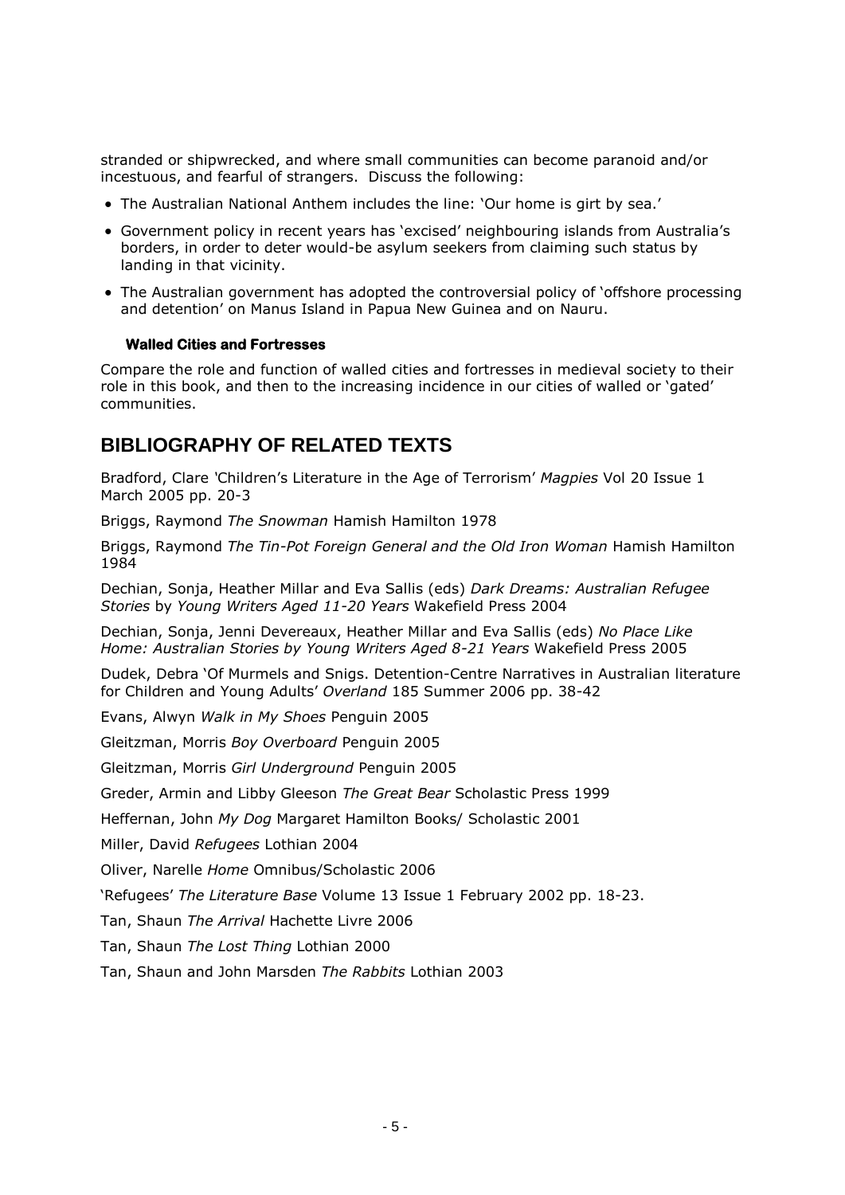stranded or shipwrecked, and where small communities can become paranoid and/or incestuous, and fearful of strangers. Discuss the following:

- The Australian National Anthem includes the line: 'Our home is girt by sea.'
- Government policy in recent years has 'excised' neighbouring islands from Australia's borders, in order to deter would-be asylum seekers from claiming such status by landing in that vicinity.
- The Australian government has adopted the controversial policy of 'offshore processing and detention' on Manus Island in Papua New Guinea and on Nauru.

## **Walled Cities and Fortresses**

Compare the role and function of walled cities and fortresses in medieval society to their role in this book, and then to the increasing incidence in our cities of walled or 'gated' communities.

## **BIBLIOGRAPHY OF RELATED TEXTS**

Bradford, Clare *'*Children's Literature in the Age of Terrorism' *Magpies* Vol 20 Issue 1 March 2005 pp. 20-3

Briggs, Raymond *The Snowman* Hamish Hamilton 1978

Briggs, Raymond *The Tin-Pot Foreign General and the Old Iron Woman* Hamish Hamilton 1984

Dechian, Sonja, Heather Millar and Eva Sallis (eds) *Dark Dreams: Australian Refugee Stories* by *Young Writers Aged 11-20 Years* Wakefield Press 2004

Dechian, Sonja, Jenni Devereaux, Heather Millar and Eva Sallis (eds) *No Place Like Home: Australian Stories by Young Writers Aged 8-21 Years* Wakefield Press 2005

Dudek, Debra 'Of Murmels and Snigs. Detention-Centre Narratives in Australian literature for Children and Young Adults' *Overland* 185 Summer 2006 pp. 38-42

Evans, Alwyn *Walk in My Shoes* Penguin 2005

Gleitzman, Morris *Boy Overboard* Penguin 2005

Gleitzman, Morris *Girl Underground* Penguin 2005

Greder, Armin and Libby Gleeson *The Great Bear* Scholastic Press 1999

Heffernan, John *My Dog* Margaret Hamilton Books/ Scholastic 2001

Miller, David *Refugees* Lothian 2004

Oliver, Narelle *Home* Omnibus/Scholastic 2006

'Refugees' *The Literature Base* Volume 13 Issue 1 February 2002 pp. 18-23.

Tan, Shaun *The Arrival* Hachette Livre 2006

Tan, Shaun *The Lost Thing* Lothian 2000

Tan, Shaun and John Marsden *The Rabbits* Lothian 2003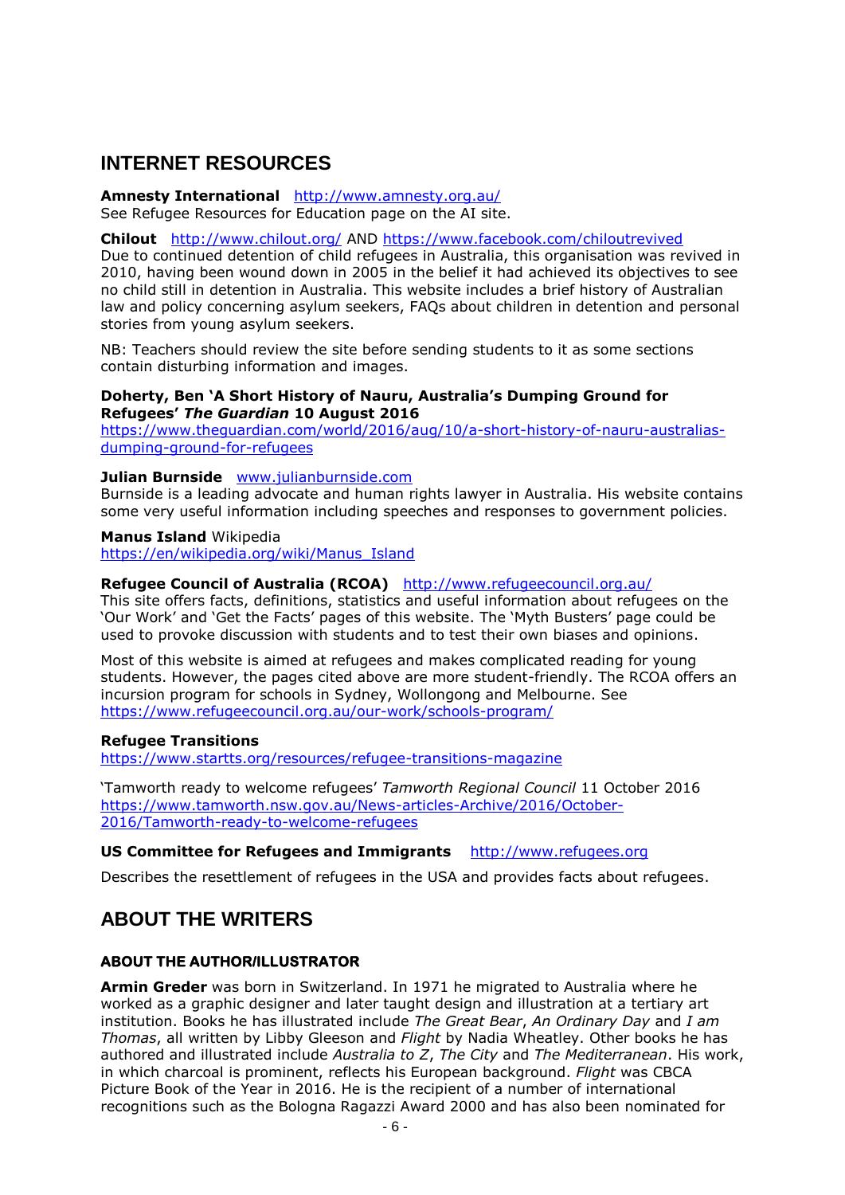## **INTERNET RESOURCES**

#### **Amnesty International** <http://www.amnesty.org.au/> See Refugee Resources for Education page on the AI site.

**Chilout** <http://www.chilout.org/> AND<https://www.facebook.com/chiloutrevived>

Due to continued detention of child refugees in Australia, this organisation was revived in 2010, having been wound down in 2005 in the belief it had achieved its objectives to see no child still in detention in Australia. This website includes a brief history of Australian law and policy concerning asylum seekers, FAQs about children in detention and personal stories from young asylum seekers.

NB: Teachers should review the site before sending students to it as some sections contain disturbing information and images.

## **Doherty, Ben 'A Short History of Nauru, Australia's Dumping Ground for Refugees'** *The Guardian* **10 August 2016**

[https://www.theguardian.com/world/2016/aug/10/a-short-history-of-nauru-australias](https://www.theguardian.com/world/2016/aug/10/a-short-history-of-nauru-australias-dumping-ground-for-refugees)[dumping-ground-for-refugees](https://www.theguardian.com/world/2016/aug/10/a-short-history-of-nauru-australias-dumping-ground-for-refugees)

## **Julian Burnside** [www.julianburnside.com](http://www.julianburnside.com/)

Burnside is a leading advocate and human rights lawyer in Australia. His website contains some very useful information including speeches and responses to government policies.

## **Manus Island** Wikipedia

[https://en/wikipedia.org/wiki/Manus\\_Island](https://en/wikipedia.org/wiki/Manus_Island)

## **Refugee Council of Australia (RCOA)** <http://www.refugeecouncil.org.au/>

This site offers facts, definitions, statistics and useful information about refugees on the 'Our Work' and 'Get the Facts' pages of this website. The 'Myth Busters' page could be used to provoke discussion with students and to test their own biases and opinions.

Most of this website is aimed at refugees and makes complicated reading for young students. However, the pages cited above are more student-friendly. The RCOA offers an incursion program for schools in Sydney, Wollongong and Melbourne. See <https://www.refugeecouncil.org.au/our-work/schools-program/>

## **Refugee Transitions**

<https://www.startts.org/resources/refugee-transitions-magazine>

'Tamworth ready to welcome refugees' *Tamworth Regional Council* 11 October 2016 [https://www.tamworth.nsw.gov.au/News-articles-Archive/2016/October-](https://www.tamworth.nsw.gov.au/News-articles-Archive/2016/October-2016/Tamworth-ready-to-welcome-refugees)[2016/Tamworth-ready-to-welcome-refugees](https://www.tamworth.nsw.gov.au/News-articles-Archive/2016/October-2016/Tamworth-ready-to-welcome-refugees)

## **US Committee for Refugees and Immigrants** [http://www.refugees.org](http://www.refugees.org/)

Describes the resettlement of refugees in the USA and provides facts about refugees.

## **ABOUT THE WRITERS**

## **ABOUT THE AUTHOR/ILLUSTRATOR**

**Armin Greder** was born in Switzerland. In 1971 he migrated to Australia where he worked as a graphic designer and later taught design and illustration at a tertiary art institution. Books he has illustrated include *The Great Bear*, *An Ordinary Day* and *I am Thomas*, all written by Libby Gleeson and *Flight* by Nadia Wheatley. Other books he has authored and illustrated include *Australia to Z*, *The City* and *The Mediterranean*. His work, in which charcoal is prominent, reflects his European background. *Flight* was CBCA Picture Book of the Year in 2016. He is the recipient of a number of international recognitions such as the Bologna Ragazzi Award 2000 and has also been nominated for